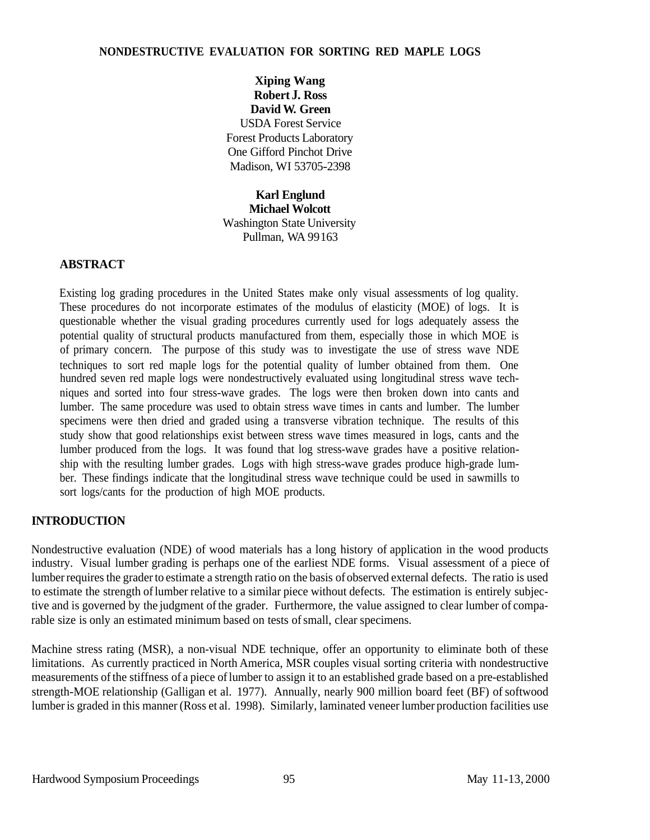### **NONDESTRUCTIVE EVALUATION FOR SORTING RED MAPLE LOGS**

**Xiping Wang Robert J. Ross David W. Green**  USDA Forest Service Forest Products Laboratory One Gifford Pinchot Drive Madison, WI 53705-2398

**Karl Englund Michael Wolcott**  Washington State University Pullman, WA 99163

# **ABSTRACT**

Existing log grading procedures in the United States make only visual assessments of log quality. These procedures do not incorporate estimates of the modulus of elasticity (MOE) of logs. It is questionable whether the visual grading procedures currently used for logs adequately assess the potential quality of structural products manufactured from them, especially those in which MOE is of primary concern. The purpose of this study was to investigate the use of stress wave NDE techniques to sort red maple logs for the potential quality of lumber obtained from them. One hundred seven red maple logs were nondestructively evaluated using longitudinal stress wave techniques and sorted into four stress-wave grades. The logs were then broken down into cants and lumber. The same procedure was used to obtain stress wave times in cants and lumber. The lumber specimens were then dried and graded using a transverse vibration technique. The results of this study show that good relationships exist between stress wave times measured in logs, cants and the lumber produced from the logs. It was found that log stress-wave grades have a positive relationship with the resulting lumber grades. Logs with high stress-wave grades produce high-grade lumber. These findings indicate that the longitudinal stress wave technique could be used in sawmills to sort logs/cants for the production of high MOE products.

#### **INTRODUCTION**

Nondestructive evaluation (NDE) of wood materials has a long history of application in the wood products industry. Visual lumber grading is perhaps one of the earliest NDE forms. Visual assessment of a piece of lumber requires the grader to estimate a strength ratio on the basis of observed external defects. The ratio is used to estimate the strength of lumber relative to a similar piece without defects. The estimation is entirely subjective and is governed by the judgment of the grader. Furthermore, the value assigned to clear lumber of comparable size is only an estimated minimum based on tests of small, clear specimens.

Machine stress rating (MSR), a non-visual NDE technique, offer an opportunity to eliminate both of these limitations. As currently practiced in North America, MSR couples visual sorting criteria with nondestructive measurements of the stiffness of a piece of lumber to assign it to an established grade based on a pre-established strength-MOE relationship (Galligan et al. 1977). Annually, nearly 900 million board feet (BF) of softwood lumber is graded in this manner (Ross et al. 1998). Similarly, laminated veneer lumber production facilities use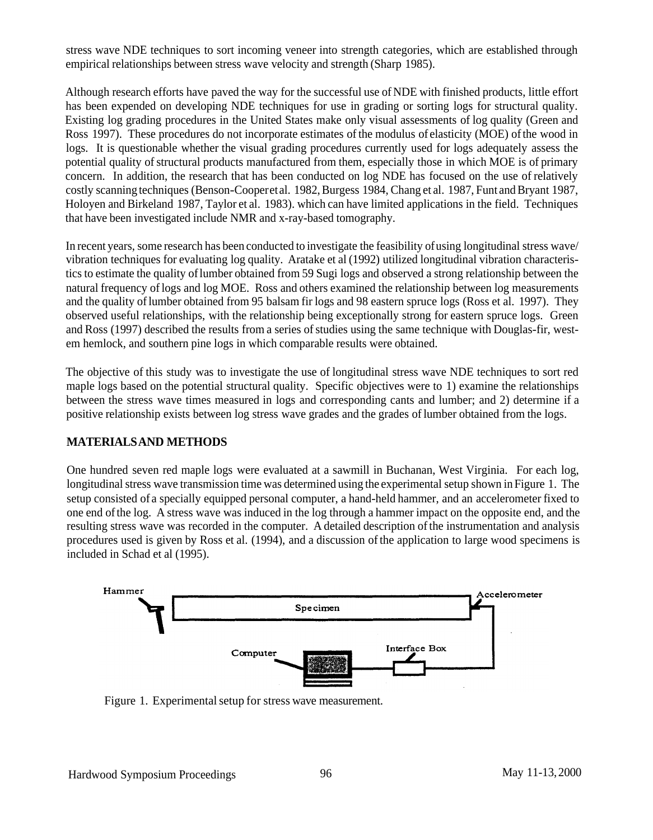stress wave NDE techniques to sort incoming veneer into strength categories, which are established through empirical relationships between stress wave velocity and strength (Sharp 1985).

Although research efforts have paved the way for the successful use of NDE with finished products, little effort has been expended on developing NDE techniques for use in grading or sorting logs for structural quality. Existing log grading procedures in the United States make only visual assessments of log quality (Green and Ross 1997). These procedures do not incorporate estimates of the modulus of elasticity (MOE) of the wood in logs. It is questionable whether the visual grading procedures currently used for logs adequately assess the potential quality of structural products manufactured from them, especially those in which MOE is of primary concern. In addition, the research that has been conducted on log NDE has focused on the use of relatively costly scanning techniques (Benson-Cooperet al. 1982, Burgess 1984, Chang et al. 1987, Funt and Bryant 1987, Holoyen and Birkeland 1987, Taylor et al. 1983). which can have limited applications in the field. Techniques that have been investigated include NMR and x-ray-based tomography.

In recent years, some research has been conducted to investigate the feasibility of using longitudinal stress wave/ vibration techniques for evaluating log quality. Aratake et al (1992) utilized longitudinal vibration characteristics to estimate the quality of lumber obtained from 59 Sugi logs and observed a strong relationship between the natural frequency of logs and log MOE. Ross and others examined the relationship between log measurements and the quality of lumber obtained from 95 balsam fir logs and 98 eastern spruce logs (Ross et al. 1997). They observed useful relationships, with the relationship being exceptionally strong for eastern spruce logs. Green and Ross (1997) described the results from a series of studies using the same technique with Douglas-fir, westem hemlock, and southern pine logs in which comparable results were obtained.

The objective of this study was to investigate the use of longitudinal stress wave NDE techniques to sort red maple logs based on the potential structural quality. Specific objectives were to 1) examine the relationships between the stress wave times measured in logs and corresponding cants and lumber; and 2) determine if a positive relationship exists between log stress wave grades and the grades of lumber obtained from the logs.

# **MATERIALS AND METHODS**

One hundred seven red maple logs were evaluated at a sawmill in Buchanan, West Virginia. For each log, longitudinal stress wave transmission time was determined using the experimental setup shown in Figure 1. The setup consisted of a specially equipped personal computer, a hand-held hammer, and an accelerometer fixed to one end of the log. A stress wave was induced in the log through a hammer impact on the opposite end, and the resulting stress wave was recorded in the computer. A detailed description of the instrumentation and analysis procedures used is given by Ross et al. (1994), and a discussion of the application to large wood specimens is included in Schad et al (1995).



Figure 1. Experimental setup for stress wave measurement.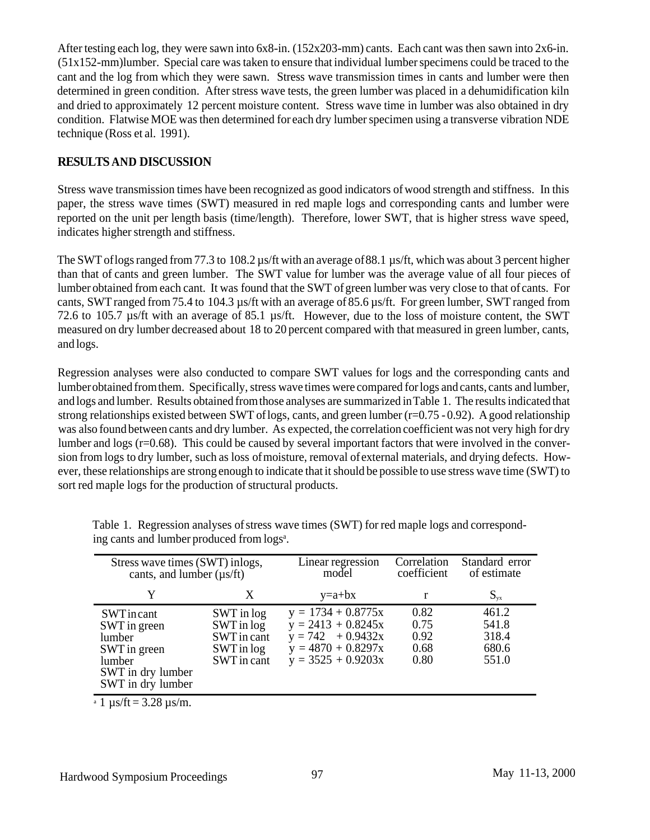After testing each log, they were sawn into  $6x8$ -in.  $(152x203$ -mm) cants. Each cant was then sawn into  $2x6$ -in. (51x152-mm)lumber. Special care was taken to ensure that individual lumber specimens could be traced to the cant and the log from which they were sawn. Stress wave transmission times in cants and lumber were then determined in green condition. After stress wave tests, the green lumber was placed in a dehumidification kiln and dried to approximately 12 percent moisture content. Stress wave time in lumber was also obtained in dry condition. Flatwise MOE was then determined for each dry lumber specimen using a transverse vibration NDE technique (Ross et al. 1991).

# **RESULTS AND DISCUSSION**

Stress wave transmission times have been recognized as good indicators of wood strength and stiffness. In this paper, the stress wave times (SWT) measured in red maple logs and corresponding cants and lumber were reported on the unit per length basis (time/length). Therefore, lower SWT, that is higher stress wave speed, indicates higher strength and stiffness.

The SWT of logs ranged from 77.3 to 108.2 us/ft with an average of 88.1 us/ft, which was about 3 percent higher than that of cants and green lumber. The SWT value for lumber was the average value of all four pieces of lumber obtained from each cant. It was found that the SWT of green lumber was very close to that of cants. For cants, SWT ranged from 75.4 to 104.3 µs/ft with an average of 85.6 µs/ft. For green lumber, SWT ranged from 72.6 to 105.7 µs/ft with an average of 85.1 µs/ft. However, due to the loss of moisture content, the SWT measured on dry lumber decreased about 18 to 20 percent compared with that measured in green lumber, cants, and logs.

Regression analyses were also conducted to compare SWT values for logs and the corresponding cants and lumber obtained from them. Specifically, stress wave times were compared for logs and cants, cants and lumber, and logs and lumber. Results obtained from those analyses are summarized in Table 1. The results indicated that strong relationships existed between SWT of logs, cants, and green lumber (r=0.75 - 0.92). A good relationship was also found between cants and dry lumber. As expected, the correlation coefficient was not very high for dry lumber and logs (r=0.68). This could be caused by several important factors that were involved in the conversion from logs to dry lumber, such as loss of moisture, removal of external materials, and drying defects. However, these relationships are strong enough to indicate that it should be possible to use stress wave time (SWT) to sort red maple logs for the production of structural products.

| Stress wave times (SWT) inlogs,<br>cants, and lumber $(\mu s/ft)$                                       |                                                                      | Linear regression<br>model                                                                                          | Correlation<br>coefficient           | Standard error<br>of estimate             |
|---------------------------------------------------------------------------------------------------------|----------------------------------------------------------------------|---------------------------------------------------------------------------------------------------------------------|--------------------------------------|-------------------------------------------|
| Y                                                                                                       | X                                                                    | $y=a+bx$                                                                                                            | r                                    | $S_{yx}$                                  |
| SWTincant<br>SWT in green<br>lumber<br>SWT in green<br>lumber<br>SWT in dry lumber<br>SWT in dry lumber | SWT in log<br>SWT in log<br>SWT in cant<br>SWT in log<br>SWT in cant | $y = 1734 + 0.8775x$<br>$y = 2413 + 0.8245x$<br>$y = 742 + 0.9432x$<br>$y = 4870 + 0.8297x$<br>$y = 3525 + 0.9203x$ | 0.82<br>0.75<br>0.92<br>0.68<br>0.80 | 461.2<br>541.8<br>318.4<br>680.6<br>551.0 |

Table 1. Regression analyses of stress wave times (SWT) for red maple logs and corresponding cants and lumber produced from logs<sup>a</sup>.

 $a = 1 \text{ }\mu\text{s/ft} = 3.28 \text{ }\mu\text{s/m}.$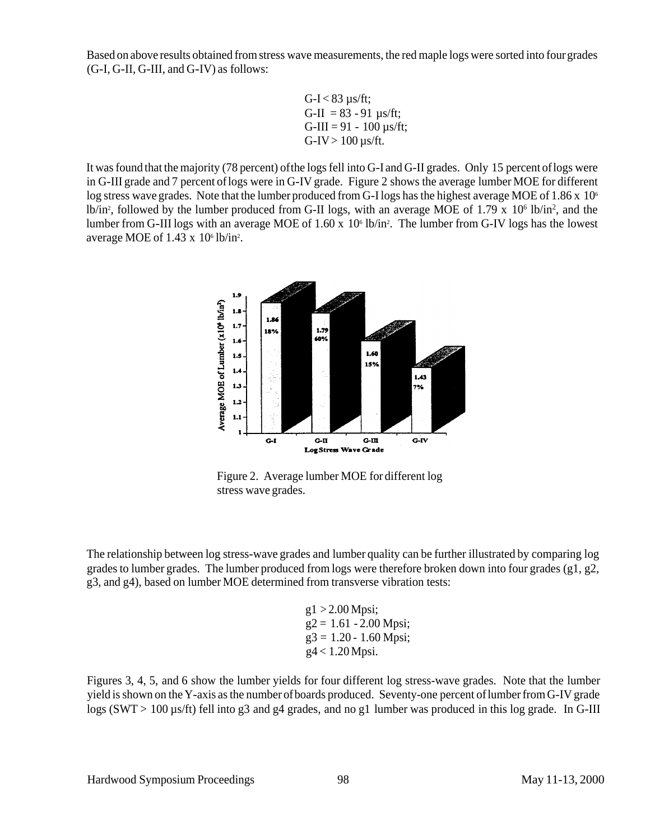Based on above results obtained from stress wave measurements, the red maple logs were sorted into four grades (G-I, G-II, G-III, and G-IV) as follows:

G-I 
$$
<
$$
 83 µs/ft;  
\nG-II = 83 - 91 µs/ft;  
\nG-III = 91 - 100 µs/ft;  
\nG-IV > 100 µs/ft.

It was found that the majority (78 percent) ofthe logs fell into G-I and G-II grades. Only 15 percent of logs were in G-III grade and 7 percent of logs were in G-IV grade. Figure 2 shows the average lumber MOE for different log stress wave grades. Note that the lumber produced from G-I logs has the highest average MOE of  $1.86 \times 10^6$ lb/in<sup>2</sup>, followed by the lumber produced from G-II logs, with an average MOE of 1.79 x 10<sup>6</sup> lb/in<sup>2</sup>, and the lumber from G-III logs with an average MOE of 1.60 x 10<sup>6</sup> lb/in<sup>2</sup>. The lumber from G-IV logs has the lowest average MOE of  $1.43 \times 10^6$  lb/in<sup>2</sup>.



Figure 2. Average lumber MOE for different log stress wave grades.

The relationship between log stress-wave grades and lumber quality can be further illustrated by comparing log grades to lumber grades. The lumber produced from logs were therefore broken down into four grades (g1, g2, g3, and g4), based on lumber MOE determined from transverse vibration tests:

> $g1 > 2.00$  Mpsi:  $g2 = 1.61 - 2.00$  Mpsi;  $g3 = 1.20 - 1.60$  Mpsi; g4 < 1.20 Mpsi.

Figures 3, 4, 5, and 6 show the lumber yields for four different log stress-wave grades. Note that the lumber yield is shown on the Y-axis as the number of boards produced. Seventy-one percent of lumber from G-IV grade logs (SWT > 100 µs/ft) fell into g3 and g4 grades, and no g1 lumber was produced in this log grade. In G-III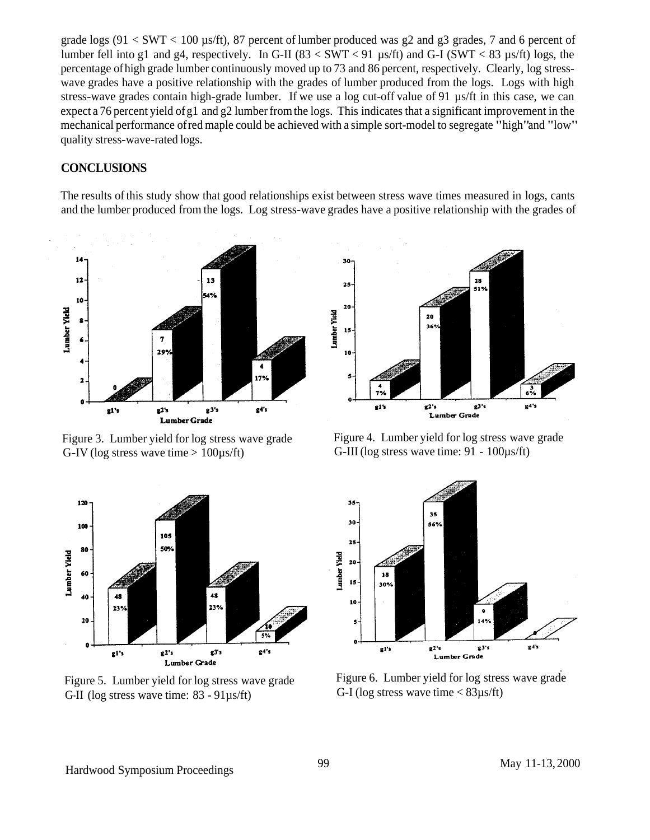grade logs (91  $\lt$  SWT  $\lt$  100 µs/ft), 87 percent of lumber produced was g2 and g3 grades, 7 and 6 percent of lumber fell into g1 and g4, respectively. In G-II (83  $\lt$  SWT  $\lt$  91 µs/ft) and G-I (SWT  $\lt$  83 µs/ft) logs, the percentage of high grade lumber continuously moved up to 73 and 86 percent, respectively. Clearly, log stresswave grades have a positive relationship with the grades of lumber produced from the logs. Logs with high stress-wave grades contain high-grade lumber. If we use a log cut-off value of 91 µs/ft in this case, we can expect a 76 percent yield of g1 and g2 lumber from the logs. This indicates that a significant improvement in the mechanical performance of red maple could be achieved with a simple sort-model to segregate "high"and "low" quality stress-wave-rated logs.

#### **CONCLUSIONS**

The results of this study show that good relationships exist between stress wave times measured in logs, cants and the lumber produced from the logs. Log stress-wave grades have a positive relationship with the grades of



G-IV (log stress wave time  $> 100\mu s/ft$ ) G-III (log stress wave time: 91 - 100 $\mu s/ft$ )



Figure 3. Lumber yield for log stress wave grade Figure 4. Lumber yield for log stress wave grade



G-II (log stress wave time:  $83 - 91\mu s/ft$ )



Figure 5. Lumber yield for log stress wave grade Figure 6. Lumber yield for log stress wave grade<br>G-I (log stress wave time < 83us/ft)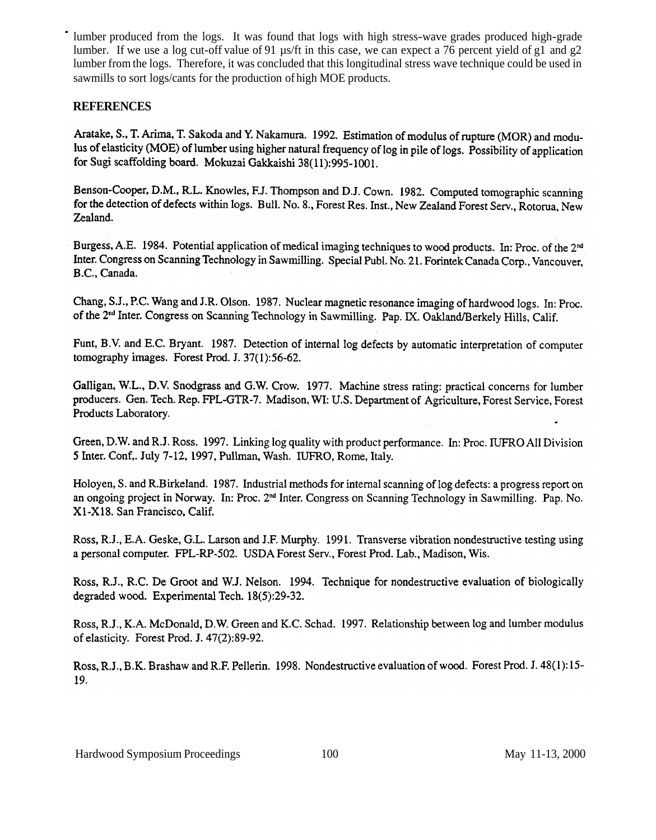lumber produced from the logs. It was found that logs with high stress-wave grades produced high-grade lumber. If we use a log cut-off value of 91 µs/ft in this case, we can expect a 76 percent yield of g1 and g2 lumber from the logs. Therefore, it was concluded that this longitudinal stress wave technique could be used in sawmills to sort logs/cants for the production of high MOE products.

### **REFERENCES**

Aratake, S., T. Arima, T. Sakoda and Y. Nakamura. 1992. Estimation of modulus of rupture (MOR) and modulus of elasticity (MOE) of lumber using higher natural frequency of log in pile of logs. Possibility of application for Sugi scaffolding board. Mokuzai Gakkaishi 38(11):995-1001.

Benson-Cooper, D.M., R.L. Knowles, F.J. Thompson and D.J. Cown. 1982. Computed tomographic scanning for the detection of defects within logs. Bull. No. 8., Forest Res. Inst., New Zealand Forest Serv., Rotorua, New Zealand.

Burgess, A.E. 1984. Potential application of medical imaging techniques to wood products. In: Proc. of the 2<sup>nd</sup> Inter. Congress on Scanning Technology in Sawmilling. Special Publ. No. 21. Forintek Canada Corp., Vancouver, B.C., Canada.

Chang, S.J., P.C. Wang and J.R. Olson. 1987. Nuclear magnetic resonance imaging of hardwood logs. In: Proc. of the 2<sup>nd</sup> Inter. Congress on Scanning Technology in Sawmilling. Pap. IX. Oakland/Berkely Hills, Calif.

Funt, B.V. and E.C. Bryant. 1987. Detection of internal log defects by automatic interpretation of computer tomography images. Forest Prod. J. 37(1):56-62.

Galligan, W.L., D.V. Snodgrass and G.W. Crow. 1977. Machine stress rating: practical concerns for lumber producers. Gen. Tech. Rep. FPL-GTR-7. Madison, WI: U.S. Department of Agriculture, Forest Service, Forest Products Laboratory.

Green, D.W. and R.J. Ross. 1997. Linking log quality with product performance. In: Proc. IUFRO All Division 5 Inter. Conf,. July 7-12, 1997, Pullman, Wash. IUFRO, Rome, Italy.

Holoyen, S. and R.Birkeland. 1987. Industrial methods for internal scanning of log defects: a progress report on an ongoing project in Norway. In: Proc. 2<sup>nd</sup> Inter. Congress on Scanning Technology in Sawmilling. Pap. No. X1-X18. San Francisco, Calif.

Ross, R.J., E.A. Geske, G.L. Larson and J.F. Murphy. 1991. Transverse vibration nondestructive testing using a personal computer. FPL-RP-502. USDA Forest Serv., Forest Prod. Lab., Madison, Wis.

Ross, R.J., R.C. De Groot and W.J. Nelson. 1994. Technique for nondestructive evaluation of biologically degraded wood. Experimental Tech. 18(5):29-32.

Ross, R.J., K.A. McDonald, D.W. Green and K.C. Schad. 1997. Relationship between log and lumber modulus of elasticity. Forest Prod. J.  $47(2):89-92$ .

Ross, R.J., B.K. Brashaw and R.F. Pellerin. 1998. Nondestructive evaluation of wood. Forest Prod. J. 48(1):15-19.